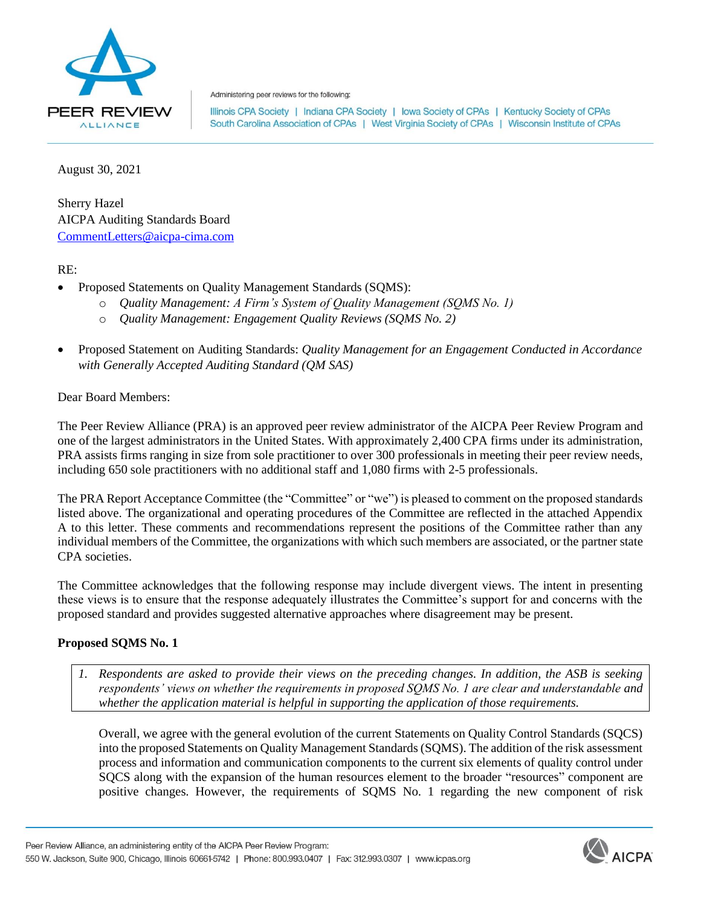

Administering peer reviews for the following:

Illinois CPA Society | Indiana CPA Society | Iowa Society of CPAs | Kentucky Society of CPAs South Carolina Association of CPAs | West Virginia Society of CPAs | Wisconsin Institute of CPAs

August 30, 2021

Sherry Hazel AICPA Auditing Standards Board [CommentLetters@aicpa-cima.com](mailto:CommentLetters@aicpa-cima.com)

RE:

- Proposed Statements on Quality Management Standards (SQMS):
	- o *Quality Management: A Firm's System of Quality Management (SQMS No. 1)*
	- o *Quality Management: Engagement Quality Reviews (SQMS No. 2)*
- Proposed Statement on Auditing Standards: *Quality Management for an Engagement Conducted in Accordance with Generally Accepted Auditing Standard (QM SAS)*

### Dear Board Members:

The Peer Review Alliance (PRA) is an approved peer review administrator of the AICPA Peer Review Program and one of the largest administrators in the United States. With approximately 2,400 CPA firms under its administration, PRA assists firms ranging in size from sole practitioner to over 300 professionals in meeting their peer review needs, including 650 sole practitioners with no additional staff and 1,080 firms with 2-5 professionals.

The PRA Report Acceptance Committee (the "Committee" or "we") is pleased to comment on the proposed standards listed above. The organizational and operating procedures of the Committee are reflected in the attached Appendix A to this letter. These comments and recommendations represent the positions of the Committee rather than any individual members of the Committee, the organizations with which such members are associated, or the partner state CPA societies.

The Committee acknowledges that the following response may include divergent views. The intent in presenting these views is to ensure that the response adequately illustrates the Committee's support for and concerns with the proposed standard and provides suggested alternative approaches where disagreement may be present.

# **Proposed SQMS No. 1**

*1. Respondents are asked to provide their views on the preceding changes. In addition, the ASB is seeking respondents' views on whether the requirements in proposed SQMS No. 1 are clear and understandable and whether the application material is helpful in supporting the application of those requirements.*

Overall, we agree with the general evolution of the current Statements on Quality Control Standards (SQCS) into the proposed Statements on Quality Management Standards (SQMS). The addition of the risk assessment process and information and communication components to the current six elements of quality control under SQCS along with the expansion of the human resources element to the broader "resources" component are positive changes. However, the requirements of SQMS No. 1 regarding the new component of risk

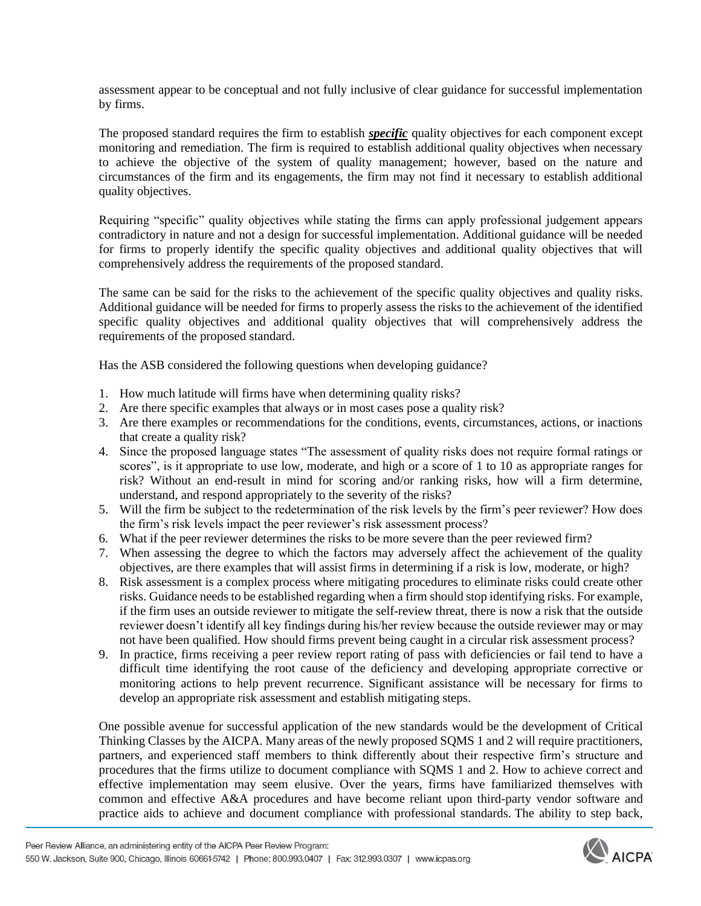assessment appear to be conceptual and not fully inclusive of clear guidance for successful implementation by firms.

The proposed standard requires the firm to establish *specific* quality objectives for each component except monitoring and remediation. The firm is required to establish additional quality objectives when necessary to achieve the objective of the system of quality management; however, based on the nature and circumstances of the firm and its engagements, the firm may not find it necessary to establish additional quality objectives.

Requiring "specific" quality objectives while stating the firms can apply professional judgement appears contradictory in nature and not a design for successful implementation. Additional guidance will be needed for firms to properly identify the specific quality objectives and additional quality objectives that will comprehensively address the requirements of the proposed standard.

The same can be said for the risks to the achievement of the specific quality objectives and quality risks. Additional guidance will be needed for firms to properly assess the risks to the achievement of the identified specific quality objectives and additional quality objectives that will comprehensively address the requirements of the proposed standard.

Has the ASB considered the following questions when developing guidance?

- 1. How much latitude will firms have when determining quality risks?
- 2. Are there specific examples that always or in most cases pose a quality risk?
- 3. Are there examples or recommendations for the conditions, events, circumstances, actions, or inactions that create a quality risk?
- 4. Since the proposed language states "The assessment of quality risks does not require formal ratings or scores", is it appropriate to use low, moderate, and high or a score of 1 to 10 as appropriate ranges for risk? Without an end-result in mind for scoring and/or ranking risks, how will a firm determine, understand, and respond appropriately to the severity of the risks?
- 5. Will the firm be subject to the redetermination of the risk levels by the firm's peer reviewer? How does the firm's risk levels impact the peer reviewer's risk assessment process?
- 6. What if the peer reviewer determines the risks to be more severe than the peer reviewed firm?
- 7. When assessing the degree to which the factors may adversely affect the achievement of the quality objectives, are there examples that will assist firms in determining if a risk is low, moderate, or high?
- 8. Risk assessment is a complex process where mitigating procedures to eliminate risks could create other risks. Guidance needs to be established regarding when a firm should stop identifying risks. For example, if the firm uses an outside reviewer to mitigate the self-review threat, there is now a risk that the outside reviewer doesn't identify all key findings during his/her review because the outside reviewer may or may not have been qualified. How should firms prevent being caught in a circular risk assessment process?
- 9. In practice, firms receiving a peer review report rating of pass with deficiencies or fail tend to have a difficult time identifying the root cause of the deficiency and developing appropriate corrective or monitoring actions to help prevent recurrence. Significant assistance will be necessary for firms to develop an appropriate risk assessment and establish mitigating steps.

One possible avenue for successful application of the new standards would be the development of Critical Thinking Classes by the AICPA. Many areas of the newly proposed SQMS 1 and 2 will require practitioners, partners, and experienced staff members to think differently about their respective firm's structure and procedures that the firms utilize to document compliance with SQMS 1 and 2. How to achieve correct and effective implementation may seem elusive. Over the years, firms have familiarized themselves with common and effective A&A procedures and have become reliant upon third-party vendor software and practice aids to achieve and document compliance with professional standards. The ability to step back,

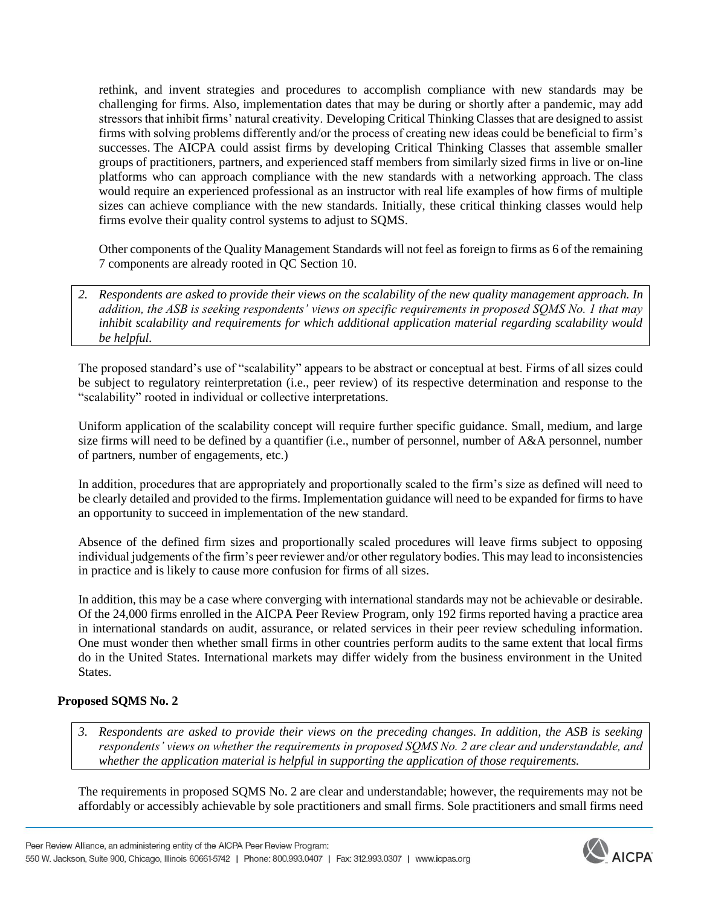rethink, and invent strategies and procedures to accomplish compliance with new standards may be challenging for firms. Also, implementation dates that may be during or shortly after a pandemic, may add stressors that inhibit firms' natural creativity. Developing Critical Thinking Classes that are designed to assist firms with solving problems differently and/or the process of creating new ideas could be beneficial to firm's successes. The AICPA could assist firms by developing Critical Thinking Classes that assemble smaller groups of practitioners, partners, and experienced staff members from similarly sized firms in live or on-line platforms who can approach compliance with the new standards with a networking approach. The class would require an experienced professional as an instructor with real life examples of how firms of multiple sizes can achieve compliance with the new standards. Initially, these critical thinking classes would help firms evolve their quality control systems to adjust to SQMS.

Other components of the Quality Management Standards will not feel as foreign to firms as 6 of the remaining 7 components are already rooted in QC Section 10.

*2. Respondents are asked to provide their views on the scalability of the new quality management approach. In addition, the ASB is seeking respondents' views on specific requirements in proposed SQMS No. 1 that may inhibit scalability and requirements for which additional application material regarding scalability would be helpful.*

The proposed standard's use of "scalability" appears to be abstract or conceptual at best. Firms of all sizes could be subject to regulatory reinterpretation (i.e., peer review) of its respective determination and response to the "scalability" rooted in individual or collective interpretations.

Uniform application of the scalability concept will require further specific guidance. Small, medium, and large size firms will need to be defined by a quantifier (i.e., number of personnel, number of A&A personnel, number of partners, number of engagements, etc.)

In addition, procedures that are appropriately and proportionally scaled to the firm's size as defined will need to be clearly detailed and provided to the firms. Implementation guidance will need to be expanded for firms to have an opportunity to succeed in implementation of the new standard.

Absence of the defined firm sizes and proportionally scaled procedures will leave firms subject to opposing individual judgements of the firm's peer reviewer and/or other regulatory bodies. This may lead to inconsistencies in practice and is likely to cause more confusion for firms of all sizes.

In addition, this may be a case where converging with international standards may not be achievable or desirable. Of the 24,000 firms enrolled in the AICPA Peer Review Program, only 192 firms reported having a practice area in international standards on audit, assurance, or related services in their peer review scheduling information. One must wonder then whether small firms in other countries perform audits to the same extent that local firms do in the United States. International markets may differ widely from the business environment in the United **States** 

# **Proposed SQMS No. 2**

*3. Respondents are asked to provide their views on the preceding changes. In addition, the ASB is seeking respondents' views on whether the requirements in proposed SQMS No. 2 are clear and understandable, and whether the application material is helpful in supporting the application of those requirements.*

The requirements in proposed SQMS No. 2 are clear and understandable; however, the requirements may not be affordably or accessibly achievable by sole practitioners and small firms. Sole practitioners and small firms need

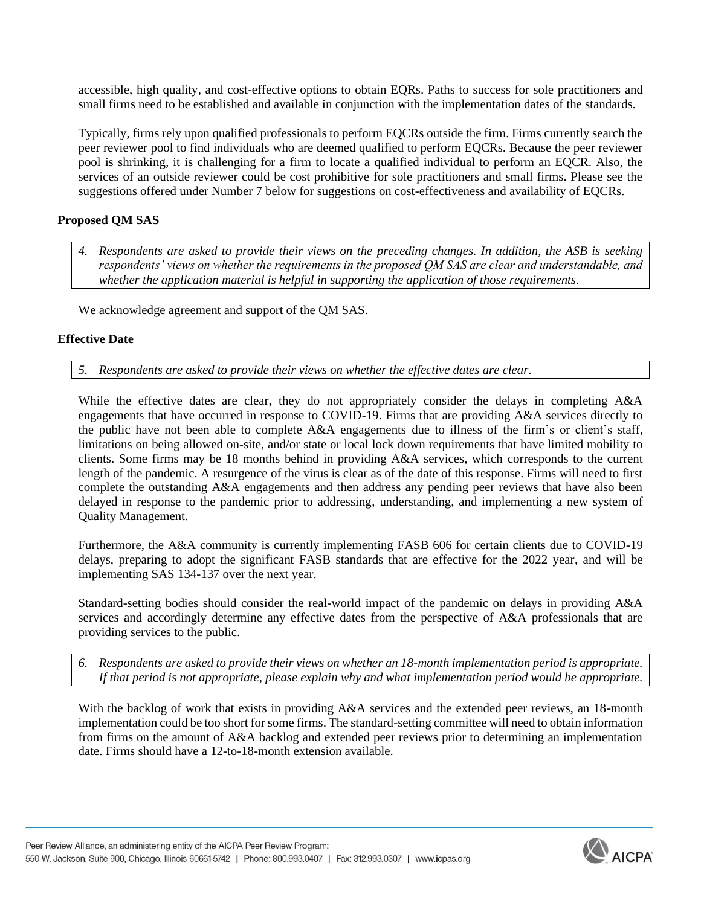accessible, high quality, and cost-effective options to obtain EQRs. Paths to success for sole practitioners and small firms need to be established and available in conjunction with the implementation dates of the standards.

Typically, firms rely upon qualified professionals to perform EQCRs outside the firm. Firms currently search the peer reviewer pool to find individuals who are deemed qualified to perform EQCRs. Because the peer reviewer pool is shrinking, it is challenging for a firm to locate a qualified individual to perform an EQCR. Also, the services of an outside reviewer could be cost prohibitive for sole practitioners and small firms. Please see the suggestions offered under Number 7 below for suggestions on cost-effectiveness and availability of EQCRs.

# **Proposed QM SAS**

*4. Respondents are asked to provide their views on the preceding changes. In addition, the ASB is seeking respondents' views on whether the requirements in the proposed QM SAS are clear and understandable, and whether the application material is helpful in supporting the application of those requirements.*

We acknowledge agreement and support of the QM SAS.

# **Effective Date**

*5. Respondents are asked to provide their views on whether the effective dates are clear.*

While the effective dates are clear, they do not appropriately consider the delays in completing A&A engagements that have occurred in response to COVID-19. Firms that are providing A&A services directly to the public have not been able to complete A&A engagements due to illness of the firm's or client's staff, limitations on being allowed on-site, and/or state or local lock down requirements that have limited mobility to clients. Some firms may be 18 months behind in providing A&A services, which corresponds to the current length of the pandemic. A resurgence of the virus is clear as of the date of this response. Firms will need to first complete the outstanding A&A engagements and then address any pending peer reviews that have also been delayed in response to the pandemic prior to addressing, understanding, and implementing a new system of Quality Management.

Furthermore, the A&A community is currently implementing FASB 606 for certain clients due to COVID-19 delays, preparing to adopt the significant FASB standards that are effective for the 2022 year, and will be implementing SAS 134-137 over the next year.

Standard-setting bodies should consider the real-world impact of the pandemic on delays in providing A&A services and accordingly determine any effective dates from the perspective of A&A professionals that are providing services to the public.

*6. Respondents are asked to provide their views on whether an 18-month implementation period is appropriate. If that period is not appropriate, please explain why and what implementation period would be appropriate.*

With the backlog of work that exists in providing A&A services and the extended peer reviews, an 18-month implementation could be too short for some firms. The standard-setting committee will need to obtain information from firms on the amount of A&A backlog and extended peer reviews prior to determining an implementation date. Firms should have a 12-to-18-month extension available.

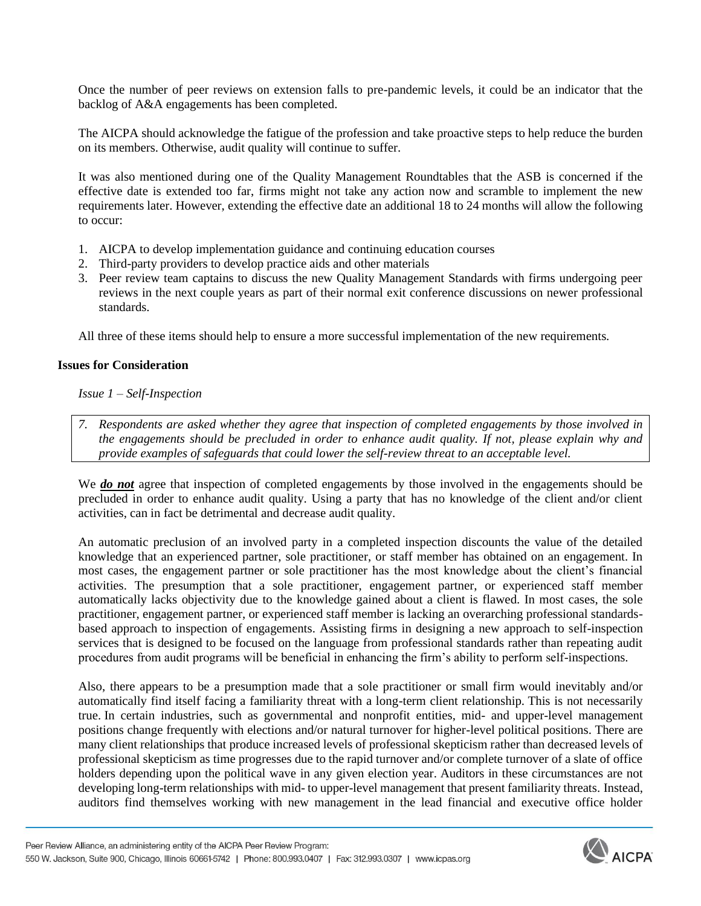Once the number of peer reviews on extension falls to pre-pandemic levels, it could be an indicator that the backlog of A&A engagements has been completed.

The AICPA should acknowledge the fatigue of the profession and take proactive steps to help reduce the burden on its members. Otherwise, audit quality will continue to suffer.

It was also mentioned during one of the Quality Management Roundtables that the ASB is concerned if the effective date is extended too far, firms might not take any action now and scramble to implement the new requirements later. However, extending the effective date an additional 18 to 24 months will allow the following to occur:

- 1. AICPA to develop implementation guidance and continuing education courses
- 2. Third-party providers to develop practice aids and other materials
- 3. Peer review team captains to discuss the new Quality Management Standards with firms undergoing peer reviews in the next couple years as part of their normal exit conference discussions on newer professional standards.

All three of these items should help to ensure a more successful implementation of the new requirements.

### **Issues for Consideration**

### *Issue 1 – Self-Inspection*

*7. Respondents are asked whether they agree that inspection of completed engagements by those involved in the engagements should be precluded in order to enhance audit quality. If not, please explain why and provide examples of safeguards that could lower the self-review threat to an acceptable level.*

We *do not* agree that inspection of completed engagements by those involved in the engagements should be precluded in order to enhance audit quality. Using a party that has no knowledge of the client and/or client activities, can in fact be detrimental and decrease audit quality.

An automatic preclusion of an involved party in a completed inspection discounts the value of the detailed knowledge that an experienced partner, sole practitioner, or staff member has obtained on an engagement. In most cases, the engagement partner or sole practitioner has the most knowledge about the client's financial activities. The presumption that a sole practitioner, engagement partner, or experienced staff member automatically lacks objectivity due to the knowledge gained about a client is flawed. In most cases, the sole practitioner, engagement partner, or experienced staff member is lacking an overarching professional standardsbased approach to inspection of engagements. Assisting firms in designing a new approach to self-inspection services that is designed to be focused on the language from professional standards rather than repeating audit procedures from audit programs will be beneficial in enhancing the firm's ability to perform self-inspections.

Also, there appears to be a presumption made that a sole practitioner or small firm would inevitably and/or automatically find itself facing a familiarity threat with a long-term client relationship. This is not necessarily true. In certain industries, such as governmental and nonprofit entities, mid- and upper-level management positions change frequently with elections and/or natural turnover for higher-level political positions. There are many client relationships that produce increased levels of professional skepticism rather than decreased levels of professional skepticism as time progresses due to the rapid turnover and/or complete turnover of a slate of office holders depending upon the political wave in any given election year. Auditors in these circumstances are not developing long-term relationships with mid- to upper-level management that present familiarity threats. Instead, auditors find themselves working with new management in the lead financial and executive office holder

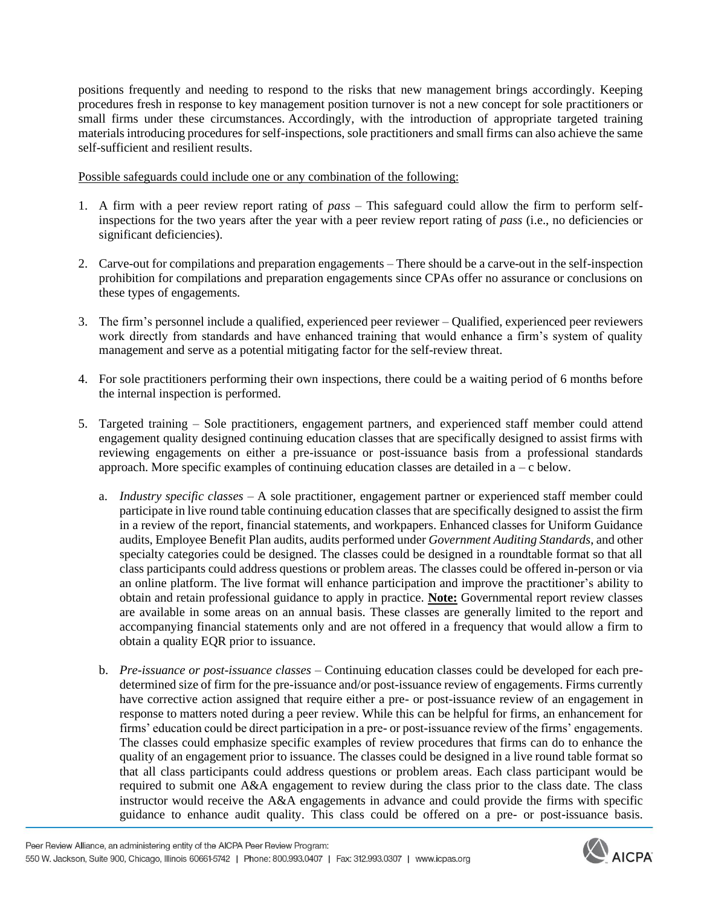positions frequently and needing to respond to the risks that new management brings accordingly. Keeping procedures fresh in response to key management position turnover is not a new concept for sole practitioners or small firms under these circumstances. Accordingly, with the introduction of appropriate targeted training materials introducing procedures for self-inspections, sole practitioners and small firms can also achieve the same self-sufficient and resilient results.

Possible safeguards could include one or any combination of the following:

- 1. A firm with a peer review report rating of *pass* This safeguard could allow the firm to perform selfinspections for the two years after the year with a peer review report rating of *pass* (i.e., no deficiencies or significant deficiencies).
- 2. Carve-out for compilations and preparation engagements There should be a carve-out in the self-inspection prohibition for compilations and preparation engagements since CPAs offer no assurance or conclusions on these types of engagements.
- 3. The firm's personnel include a qualified, experienced peer reviewer Qualified, experienced peer reviewers work directly from standards and have enhanced training that would enhance a firm's system of quality management and serve as a potential mitigating factor for the self-review threat.
- 4. For sole practitioners performing their own inspections, there could be a waiting period of 6 months before the internal inspection is performed.
- 5. Targeted training Sole practitioners, engagement partners, and experienced staff member could attend engagement quality designed continuing education classes that are specifically designed to assist firms with reviewing engagements on either a pre-issuance or post-issuance basis from a professional standards approach. More specific examples of continuing education classes are detailed in  $a - c$  below.
	- a. *Industry specific classes* A sole practitioner, engagement partner or experienced staff member could participate in live round table continuing education classes that are specifically designed to assist the firm in a review of the report, financial statements, and workpapers. Enhanced classes for Uniform Guidance audits, Employee Benefit Plan audits, audits performed under *Government Auditing Standards*, and other specialty categories could be designed. The classes could be designed in a roundtable format so that all class participants could address questions or problem areas. The classes could be offered in-person or via an online platform. The live format will enhance participation and improve the practitioner's ability to obtain and retain professional guidance to apply in practice. **Note:** Governmental report review classes are available in some areas on an annual basis. These classes are generally limited to the report and accompanying financial statements only and are not offered in a frequency that would allow a firm to obtain a quality EQR prior to issuance.
	- b. *Pre-issuance or post-issuance classes* Continuing education classes could be developed for each predetermined size of firm for the pre-issuance and/or post-issuance review of engagements. Firms currently have corrective action assigned that require either a pre- or post-issuance review of an engagement in response to matters noted during a peer review. While this can be helpful for firms, an enhancement for firms' education could be direct participation in a pre- or post-issuance review of the firms' engagements. The classes could emphasize specific examples of review procedures that firms can do to enhance the quality of an engagement prior to issuance. The classes could be designed in a live round table format so that all class participants could address questions or problem areas. Each class participant would be required to submit one A&A engagement to review during the class prior to the class date. The class instructor would receive the A&A engagements in advance and could provide the firms with specific guidance to enhance audit quality. This class could be offered on a pre- or post-issuance basis.

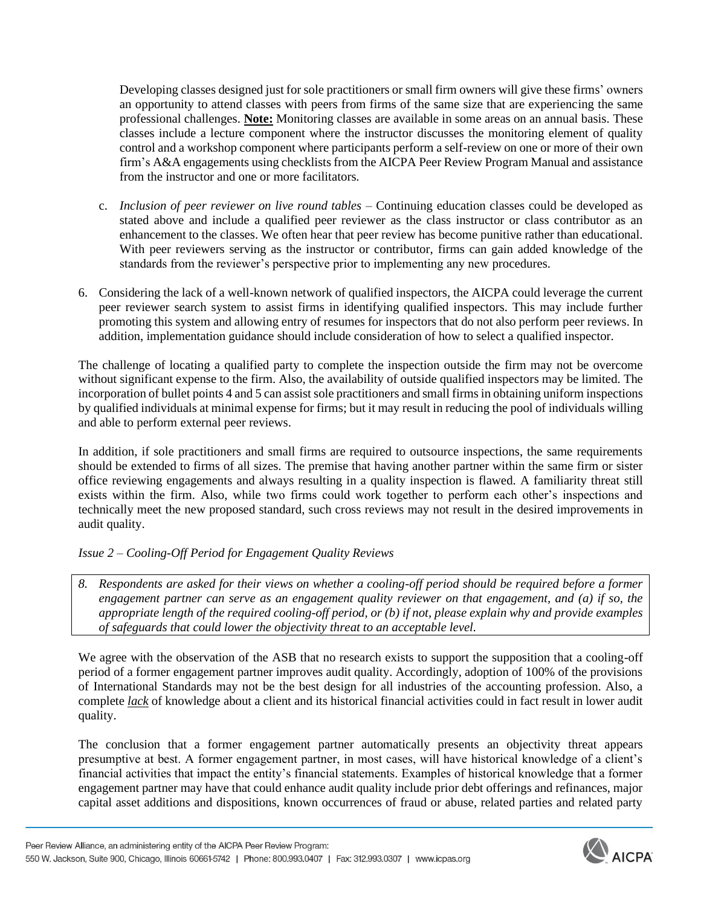Developing classes designed just for sole practitioners or small firm owners will give these firms' owners an opportunity to attend classes with peers from firms of the same size that are experiencing the same professional challenges. **Note:** Monitoring classes are available in some areas on an annual basis. These classes include a lecture component where the instructor discusses the monitoring element of quality control and a workshop component where participants perform a self-review on one or more of their own firm's A&A engagements using checklists from the AICPA Peer Review Program Manual and assistance from the instructor and one or more facilitators.

- c. *Inclusion of peer reviewer on live round tables* Continuing education classes could be developed as stated above and include a qualified peer reviewer as the class instructor or class contributor as an enhancement to the classes. We often hear that peer review has become punitive rather than educational. With peer reviewers serving as the instructor or contributor, firms can gain added knowledge of the standards from the reviewer's perspective prior to implementing any new procedures.
- 6. Considering the lack of a well-known network of qualified inspectors, the AICPA could leverage the current peer reviewer search system to assist firms in identifying qualified inspectors. This may include further promoting this system and allowing entry of resumes for inspectors that do not also perform peer reviews. In addition, implementation guidance should include consideration of how to select a qualified inspector.

The challenge of locating a qualified party to complete the inspection outside the firm may not be overcome without significant expense to the firm. Also, the availability of outside qualified inspectors may be limited. The incorporation of bullet points 4 and 5 can assist sole practitioners and small firms in obtaining uniform inspections by qualified individuals at minimal expense for firms; but it may result in reducing the pool of individuals willing and able to perform external peer reviews.

In addition, if sole practitioners and small firms are required to outsource inspections, the same requirements should be extended to firms of all sizes. The premise that having another partner within the same firm or sister office reviewing engagements and always resulting in a quality inspection is flawed. A familiarity threat still exists within the firm. Also, while two firms could work together to perform each other's inspections and technically meet the new proposed standard, such cross reviews may not result in the desired improvements in audit quality.

*Issue 2 – Cooling-Off Period for Engagement Quality Reviews* 

*8. Respondents are asked for their views on whether a cooling-off period should be required before a former engagement partner can serve as an engagement quality reviewer on that engagement, and (a) if so, the appropriate length of the required cooling-off period, or (b) if not, please explain why and provide examples of safeguards that could lower the objectivity threat to an acceptable level.*

We agree with the observation of the ASB that no research exists to support the supposition that a cooling-off period of a former engagement partner improves audit quality. Accordingly, adoption of 100% of the provisions of International Standards may not be the best design for all industries of the accounting profession. Also, a complete *lack* of knowledge about a client and its historical financial activities could in fact result in lower audit quality.

The conclusion that a former engagement partner automatically presents an objectivity threat appears presumptive at best. A former engagement partner, in most cases, will have historical knowledge of a client's financial activities that impact the entity's financial statements. Examples of historical knowledge that a former engagement partner may have that could enhance audit quality include prior debt offerings and refinances, major capital asset additions and dispositions, known occurrences of fraud or abuse, related parties and related party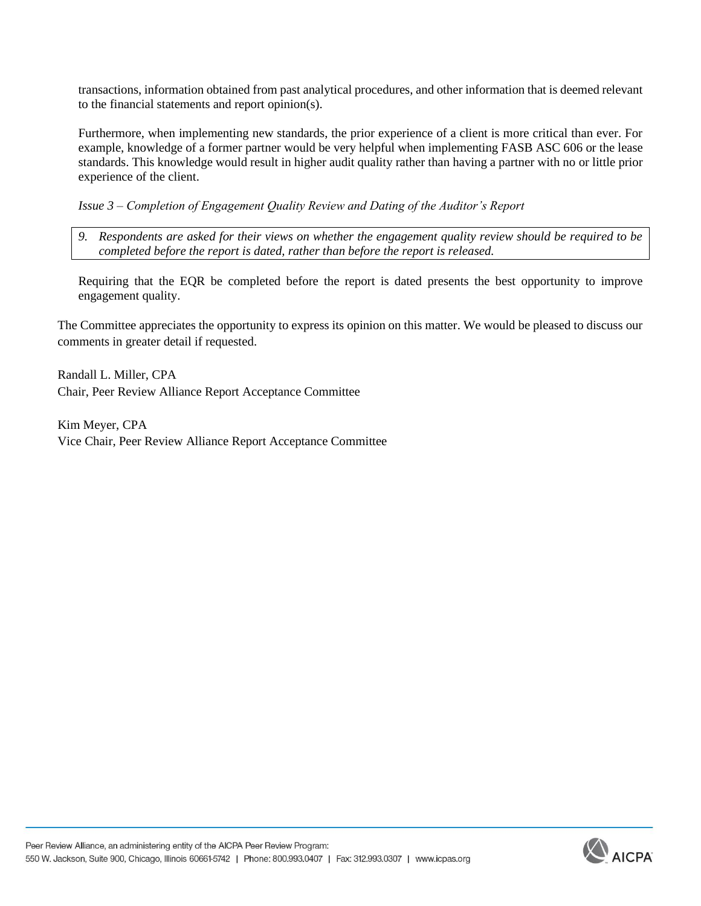transactions, information obtained from past analytical procedures, and other information that is deemed relevant to the financial statements and report opinion(s).

Furthermore, when implementing new standards, the prior experience of a client is more critical than ever. For example, knowledge of a former partner would be very helpful when implementing FASB ASC 606 or the lease standards. This knowledge would result in higher audit quality rather than having a partner with no or little prior experience of the client.

*Issue 3 – Completion of Engagement Quality Review and Dating of the Auditor's Report*

*9. Respondents are asked for their views on whether the engagement quality review should be required to be completed before the report is dated, rather than before the report is released.*

Requiring that the EQR be completed before the report is dated presents the best opportunity to improve engagement quality.

The Committee appreciates the opportunity to express its opinion on this matter. We would be pleased to discuss our comments in greater detail if requested.

Randall L. Miller, CPA Chair, Peer Review Alliance Report Acceptance Committee

Kim Meyer, CPA Vice Chair, Peer Review Alliance Report Acceptance Committee

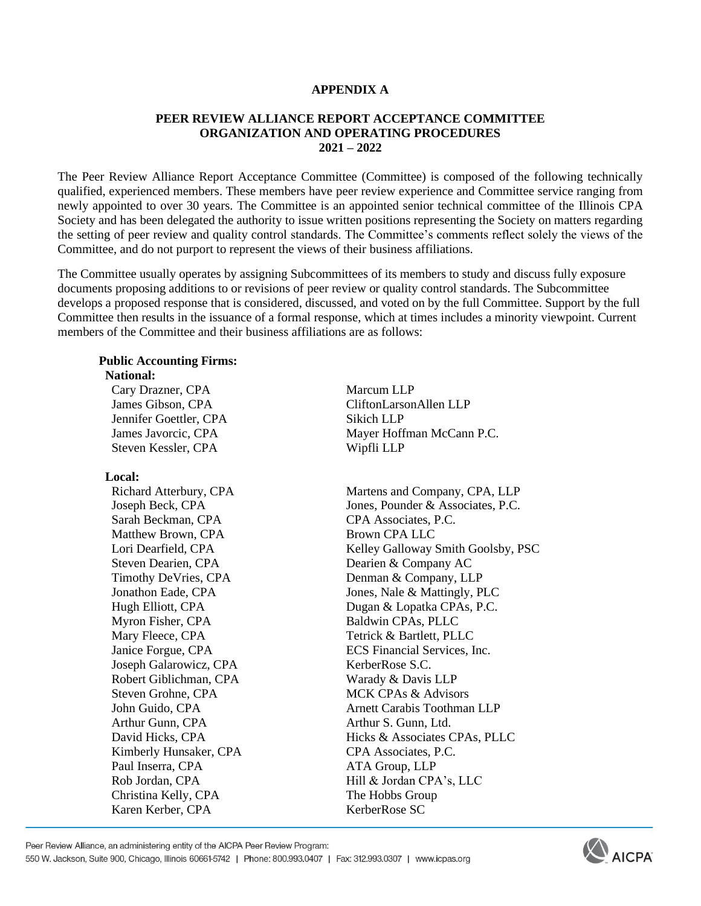#### **APPENDIX A**

#### **PEER REVIEW ALLIANCE REPORT ACCEPTANCE COMMITTEE ORGANIZATION AND OPERATING PROCEDURES 2021 – 2022**

The Peer Review Alliance Report Acceptance Committee (Committee) is composed of the following technically qualified, experienced members. These members have peer review experience and Committee service ranging from newly appointed to over 30 years. The Committee is an appointed senior technical committee of the Illinois CPA Society and has been delegated the authority to issue written positions representing the Society on matters regarding the setting of peer review and quality control standards. The Committee's comments reflect solely the views of the Committee, and do not purport to represent the views of their business affiliations.

The Committee usually operates by assigning Subcommittees of its members to study and discuss fully exposure documents proposing additions to or revisions of peer review or quality control standards. The Subcommittee develops a proposed response that is considered, discussed, and voted on by the full Committee. Support by the full Committee then results in the issuance of a formal response, which at times includes a minority viewpoint. Current members of the Committee and their business affiliations are as follows:

# **Public Accounting Firms:**

 **National:**

Cary Drazner, CPA Marcum LLP Jennifer Goettler, CPA Sikich LLP Steven Kessler, CPA Wipfli LLP

#### **Local:**

Sarah Beckman, CPA CPA CPA Associates, P.C. Matthew Brown, CPA Brown CPA LLC Steven Dearien, CPA Dearien & Company AC Myron Fisher, CPA Baldwin CPAs, PLLC Mary Fleece, CPA Tetrick & Bartlett, PLLC Joseph Galarowicz, CPA KerberRose S.C. Robert Giblichman, CPA Warady & Davis LLP Steven Grohne, CPA MCK CPAs & Advisors Arthur Gunn, CPA **Arthur S. Gunn**, Ltd. Kimberly Hunsaker, CPA CPA CPA Associates, P.C. Paul Inserra, CPA ATA Group, LLP Christina Kelly, CPA The Hobbs Group Karen Kerber, CPA KerberRose SC

 James Gibson, CPA CliftonLarsonAllen LLP James Javorcic, CPA Mayer Hoffman McCann P.C.

Richard Atterbury, CPA Martens and Company, CPA, LLP Joseph Beck, CPA Jones, Pounder & Associates, P.C. Lori Dearfield, CPA Kelley Galloway Smith Goolsby, PSC Timothy DeVries, CPA Denman & Company, LLP Jonathon Eade, CPA Jones, Nale & Mattingly, PLC Hugh Elliott, CPA Dugan & Lopatka CPAs, P.C. Janice Forgue, CPA ECS Financial Services, Inc. John Guido, CPA **Arnett Carabis Toothman LLP** David Hicks, CPA Hicks & Associates CPAs, PLLC Rob Jordan, CPA Hill & Jordan CPA's, LLC